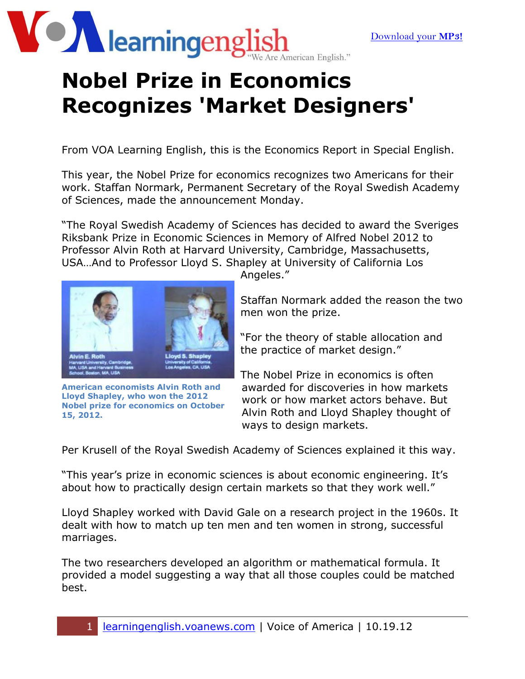

## **Nobel Prize in Economics Recognizes 'Market Designers'**

From VOA Learning English, this is the Economics Report in Special English.

This year, the Nobel Prize for economics recognizes two Americans for their work. Staffan Normark, Permanent Secretary of the Royal Swedish Academy of Sciences, made the announcement Monday.

"The Royal Swedish Academy of Sciences has decided to award the Sveriges Riksbank Prize in Economic Sciences in Memory of Alfred Nobel 2012 to Professor Alvin Roth at Harvard University, Cambridge, Massachusetts, USA…And to Professor Lloyd S. Shapley at University of California Los



**American economists Alvin Roth and Lloyd Shapley, who won the 2012 Nobel prize for economics on October 15, 2012.**

Angeles."

Staffan Normark added the reason the two men won the prize.

"For the theory of stable allocation and the practice of market design."

The Nobel Prize in economics is often awarded for discoveries in how markets work or how market actors behave. But Alvin Roth and Lloyd Shapley thought of ways to design markets.

Per Krusell of the Royal Swedish Academy of Sciences explained it this way.

"This year's prize in economic sciences is about economic engineering. It's about how to practically design certain markets so that they work well."

Lloyd Shapley worked with David Gale on a research project in the 1960s. It dealt with how to match up ten men and ten women in strong, successful marriages.

The two researchers developed an algorithm or mathematical formula. It provided a model suggesting a way that all those couples could be matched best.